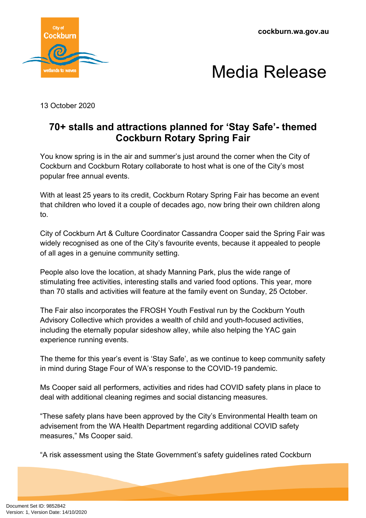**cockburn.wa.gov.au**





13 October 2020

## **70+ stalls and attractions planned for 'Stay Safe'- themed Cockburn Rotary Spring Fair**

You know spring is in the air and summer's just around the corner when the City of Cockburn and Cockburn Rotary collaborate to host what is one of the City's most popular free annual events.

With at least 25 years to its credit, Cockburn Rotary Spring Fair has become an event that children who loved it a couple of decades ago, now bring their own children along to.

City of Cockburn Art & Culture Coordinator Cassandra Cooper said the Spring Fair was widely recognised as one of the City's favourite events, because it appealed to people of all ages in a genuine community setting.

People also love the location, at shady Manning Park, plus the wide range of stimulating free activities, interesting stalls and varied food options. This year, more than 70 stalls and activities will feature at the family event on Sunday, 25 October.

The Fair also incorporates the FROSH Youth Festival run by the Cockburn Youth Advisory Collective which provides a wealth of child and youth-focused activities, including the eternally popular sideshow alley, while also helping the YAC gain experience running events.

The theme for this year's event is 'Stay Safe', as we continue to keep community safety in mind during Stage Four of WA's response to the COVID-19 pandemic.

Ms Cooper said all performers, activities and rides had COVID safety plans in place to deal with additional cleaning regimes and social distancing measures.

"These safety plans have been approved by the City's Environmental Health team on advisement from the WA Health Department regarding additional COVID safety measures," Ms Cooper said.

"A risk assessment using the State Government's safety guidelines rated Cockburn